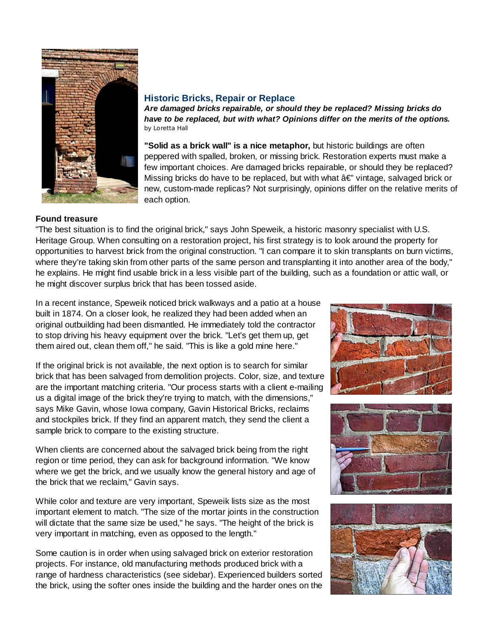

## **Historic Bricks, Repair or Replace**

*Are damaged bricks repairable, or should they be replaced? Missing bricks do have to be replaced, but with what? Opinions differ on the merits of the options.* by Loretta Hall

**"Solid as a brick wall" is a nice metaphor,** but historic buildings are often peppered with spalled, broken, or missing brick. Restoration experts must make a few important choices. Are damaged bricks repairable, or should they be replaced? Missing bricks do have to be replaced, but with what  $\hat{a} \in V$  vintage, salvaged brick or new, custom-made replicas? Not surprisingly, opinions differ on the relative merits of each option.

## **Found treasure**

"The best situation is to find the original brick," says John Speweik, a historic masonry specialist with U.S. Heritage Group. When consulting on a restoration project, his first strategy is to look around the property for opportunities to harvest brick from the original construction. "I can compare it to skin transplants on burn victims, where they're taking skin from other parts of the same person and transplanting it into another area of the body," he explains. He might find usable brick in a less visible part of the building, such as a foundation or attic wall, or he might discover surplus brick that has been tossed aside.

In a recent instance, Speweik noticed brick walkways and a patio at a house built in 1874. On a closer look, he realized they had been added when an original outbuilding had been dismantled. He immediately told the contractor to stop driving his heavy equipment over the brick. "Let's get them up, get them aired out, clean them off," he said. "This is like a gold mine here."

If the original brick is not available, the next option is to search for similar brick that has been salvaged from demolition projects. Color, size, and texture are the important matching criteria. "Our process starts with a client e-mailing us a digital image of the brick they're trying to match, with the dimensions," says Mike Gavin, whose Iowa company, Gavin Historical Bricks, reclaims and stockpiles brick. If they find an apparent match, they send the client a sample brick to compare to the existing structure.

When clients are concerned about the salvaged brick being from the right region or time period, they can ask for background information. "We know where we get the brick, and we usually know the general history and age of the brick that we reclaim," Gavin says.

While color and texture are very important, Speweik lists size as the most important element to match. "The size of the mortar joints in the construction will dictate that the same size be used," he says. "The height of the brick is very important in matching, even as opposed to the length."

Some caution is in order when using salvaged brick on exterior restoration projects. For instance, old manufacturing methods produced brick with a range of hardness characteristics (see sidebar). Experienced builders sorted the brick, using the softer ones inside the building and the harder ones on the





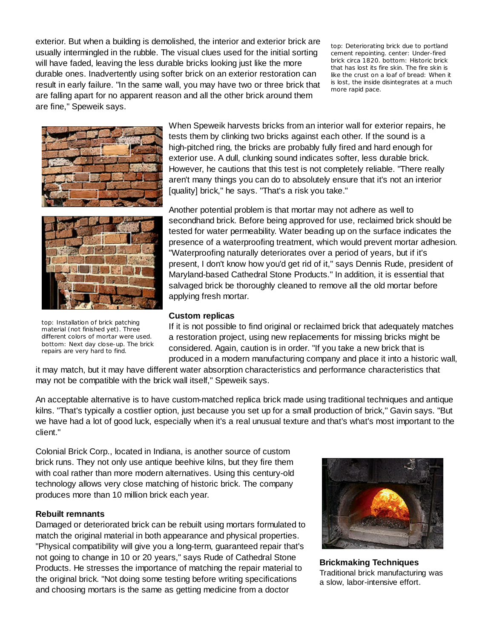exterior. But when a building is demolished, the interior and exterior brick are usually intermingled in the rubble. The visual clues used for the initial sorting will have faded, leaving the less durable bricks looking just like the more durable ones. Inadvertently using softer brick on an exterior restoration can result in early failure. "In the same wall, you may have two or three brick that are falling apart for no apparent reason and all the other brick around them are fine," Speweik says.

top: Deteriorating brick due to portland cement repointing. center: Under-fired brick circa 1820. bottom: Historic brick that has lost its fire skin. The fire skin is like the crust on a loaf of bread: When it is lost, the inside disintegrates at a much more rapid pace.





top: Installation of brick patching material (not finished yet). Three different colors of mortar were used. bottom: Next day close-up. The brick repairs are very hard to find.

When Speweik harvests bricks from an interior wall for exterior repairs, he tests them by clinking two bricks against each other. If the sound is a high-pitched ring, the bricks are probably fully fired and hard enough for exterior use. A dull, clunking sound indicates softer, less durable brick. However, he cautions that this test is not completely reliable. "There really aren't many things you can do to absolutely ensure that it's not an interior [quality] brick," he says. "That's a risk you take."

Another potential problem is that mortar may not adhere as well to secondhand brick. Before being approved for use, reclaimed brick should be tested for water permeability. Water beading up on the surface indicates the presence of a waterproofing treatment, which would prevent mortar adhesion. "Waterproofing naturally deteriorates over a period of years, but if it's present, I don't know how you'd get rid of it," says Dennis Rude, president of Maryland-based Cathedral Stone Products." In addition, it is essential that salvaged brick be thoroughly cleaned to remove all the old mortar before applying fresh mortar.

## **Custom replicas**

If it is not possible to find original or reclaimed brick that adequately matches a restoration project, using new replacements for missing bricks might be considered. Again, caution is in order. "If you take a new brick that is produced in a modern manufacturing company and place it into a historic wall,

it may match, but it may have different water absorption characteristics and performance characteristics that may not be compatible with the brick wall itself," Speweik says.

An acceptable alternative is to have custom-matched replica brick made using traditional techniques and antique kilns. "That's typically a costlier option, just because you set up for a small production of brick," Gavin says. "But we have had a lot of good luck, especially when it's a real unusual texture and that's what's most important to the client."

Colonial Brick Corp., located in Indiana, is another source of custom brick runs. They not only use antique beehive kilns, but they fire them with coal rather than more modern alternatives. Using this century-old technology allows very close matching of historic brick. The company produces more than 10 million brick each year.

## **Rebuilt remnants**

Damaged or deteriorated brick can be rebuilt using mortars formulated to match the original material in both appearance and physical properties. "Physical compatibility will give you a long-term, guaranteed repair that's not going to change in 10 or 20 years," says Rude of Cathedral Stone Products. He stresses the importance of matching the repair material to the original brick. "Not doing some testing before writing specifications and choosing mortars is the same as getting medicine from a doctor



**Brickmaking Techniques** Traditional brick manufacturing was a slow, labor-intensive effort.